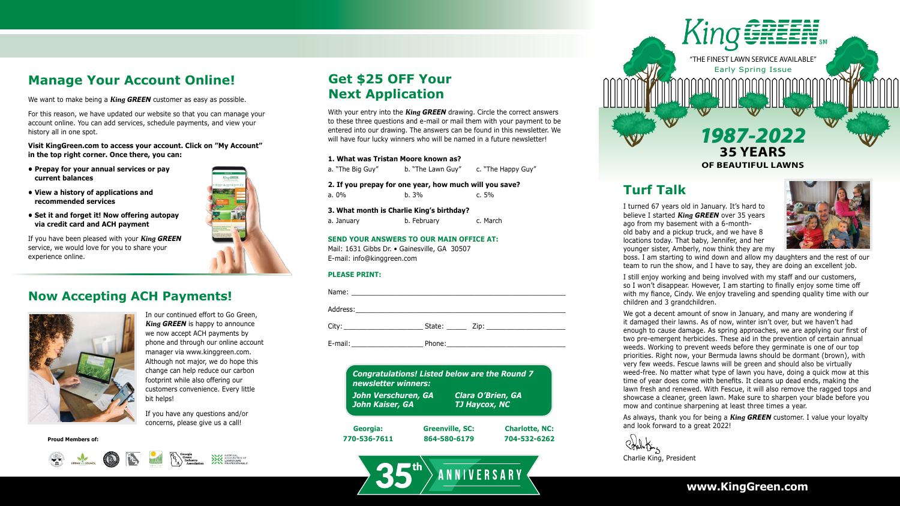# **Turf Talk**

I turned 67 years old in January. It's hard to believe I started *King GREEN* over 35 years ago from my basement with a 6-monthold baby and a pickup truck, and we have 8 locations today. That baby, Jennifer, and her younger sister, Amberly, now think they are my

boss. I am starting to wind down and allow my daughters and the rest of our team to run the show, and I have to say, they are doing an excellent job.

I still enjoy working and being involved with my staff and our customers, so I won't disappear. However, I am starting to finally enjoy some time off with my fiance, Cindy. We enjoy traveling and spending quality time with our children and 3 grandchildren.



With your entry into the *King GREEN* drawing. Circle the correct answers to these three questions and e-mail or mail them with your payment to be entered into our drawing. The answers can be found in this newsletter. We will have four lucky winners who will be named in a future newsletter!

> We got a decent amount of snow in January, and many are wondering if it damaged their lawns. As of now, winter isn't over, but we haven't had enough to cause damage. As spring approaches, we are applying our first of two pre-emergent herbicides. These aid in the prevention of certain annual weeds. Working to prevent weeds before they germinate is one of our top priorities. Right now, your Bermuda lawns should be dormant (brown), with very few weeds. Fescue lawns will be green and should also be virtually weed-free. No matter what type of lawn you have, doing a quick mow at this time of year does come with benefits. It cleans up dead ends, making the lawn fresh and renewed. With Fescue, it will also remove the ragged tops and showcase a cleaner, green lawn. Make sure to sharpen your blade before you mow and continue sharpening at least three times a year.

As always, thank you for being a *King GREEN* customer. I value your loyalty

and look forward to a great 2022!





### **www.KingGreen.com**

We want to make being a *King GREEN* customer as easy as possible.

For this reason, we have updated our website so that you can manage your account online. You can add services, schedule payments, and view your history all in one spot.

**Visit KingGreen.com to access your account. Click on "My Account" in the top right corner. Once there, you can:**

- **Prepay for your annual services or pay current balances**
- **View a history of applications and recommended services**
- 
- **Set it and forget it! Now offering autopay via credit card and ACH payment**

If you have been pleased with your *King GREEN* service, we would love for you to share your experience online.

### **PLEASE PRINT:**

| E-mail: E-mail: |  |
|-----------------|--|

**SEND YOUR ANSWERS TO OUR MAIN OFFICE AT:** 

Mail: 1631 Gibbs Dr. • Gainesville, GA 30507 E-mail: info@kinggreen.com

| 1. What was Tristan Moore known as? |                                                        |                    |
|-------------------------------------|--------------------------------------------------------|--------------------|
| a. "The Big Guv"                    | b. "The Lawn Guy"                                      | c. "The Happy Guy" |
|                                     | 2. If you prepay for one year, how much will you save? |                    |

a. 0% b. 3% c. 5%

**3. What month is Charlie King's birthday?**

a. January b. February c. March

# **Get \$25 OFF Your Next Application**

# **Manage Your Account Online!**

**Proud Members of:**



| John Verschuren, GA<br>John Kaiser, GA | <b>TJ Haycox, NC</b>   | <b>Clara O'Brien, GA</b> |
|----------------------------------------|------------------------|--------------------------|
|                                        |                        |                          |
| Georgia:                               | <b>Greenville, SC:</b> | <b>Charlotte, NC:</b>    |



In our continued effort to Go Green, *King GREEN* is happy to announce we now accept ACH payments by phone and through our online account manager via www.kinggreen.com. Although not major, we do hope this change can help reduce our carbon footprint while also offering our customers convenience. Every little bit helps!

If you have any questions and/or concerns, please give us a call!

## **Now Accepting ACH Payments!**